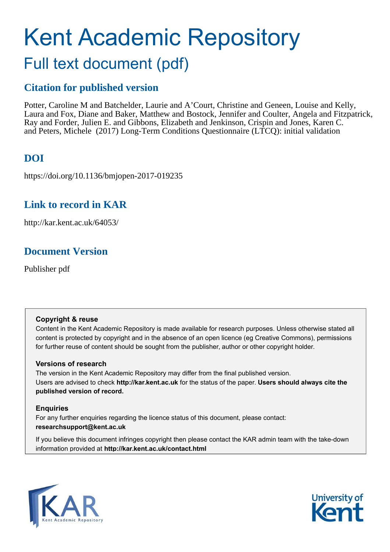# Kent Academic Repository

# Full text document (pdf)

# **Citation for published version**

Potter, Caroline M and Batchelder, Laurie and A'Court, Christine and Geneen, Louise and Kelly, Laura and Fox, Diane and Baker, Matthew and Bostock, Jennifer and Coulter, Angela and Fitzpatrick, Ray and Forder, Julien E. and Gibbons, Elizabeth and Jenkinson, Crispin and Jones, Karen C. and Peters, Michele (2017) Long-Term Conditions Questionnaire (LTCQ): initial validation

# **DOI**

https://doi.org/10.1136/bmjopen-2017-019235

# **Link to record in KAR**

http://kar.kent.ac.uk/64053/

# **Document Version**

Publisher pdf

#### **Copyright & reuse**

Content in the Kent Academic Repository is made available for research purposes. Unless otherwise stated all content is protected by copyright and in the absence of an open licence (eg Creative Commons), permissions for further reuse of content should be sought from the publisher, author or other copyright holder.

#### **Versions of research**

The version in the Kent Academic Repository may differ from the final published version. Users are advised to check **http://kar.kent.ac.uk** for the status of the paper. **Users should always cite the published version of record.**

#### **Enquiries**

For any further enquiries regarding the licence status of this document, please contact: **researchsupport@kent.ac.uk**

If you believe this document infringes copyright then please contact the KAR admin team with the take-down information provided at **http://kar.kent.ac.uk/contact.html**



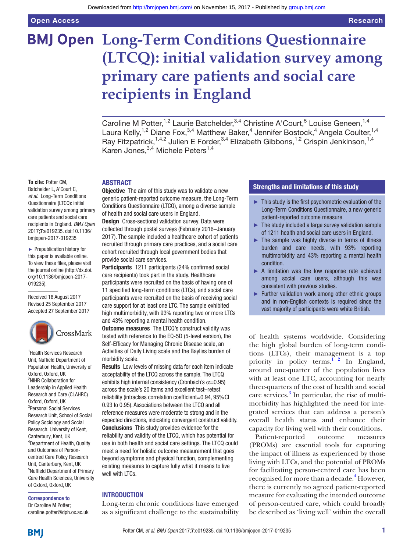# **BMJ Open Long-Term Conditions Questionnaire (LTCQ): initial validation survey among primary care patients and social care recipients in England**

Caroline M Potter,<sup>1,2</sup> Laurie Batchelder,<sup>3,4</sup> Christine A'Court,<sup>5</sup> Louise Geneen,<sup>1,4</sup> Laura Kelly,<sup>1,2</sup> Diane Fox,<sup>3,4</sup> Matthew Baker,<sup>4</sup> Jennifer Bostock,<sup>4</sup> Angela Coulter,<sup>1,4</sup> Ray Fitzpatrick,<sup>1,4,2</sup> Julien E Forder,<sup>3,4</sup> Elizabeth Gibbons,<sup>1,2</sup> Crispin Jenkinson,<sup>1,4</sup> Karen Jones,<sup>3,4</sup> Michele Peters<sup>1,4</sup>

#### **To cite:** Potter CM,

Batchelder L, A'Court C, et al. Long-Term Conditions Questionnaire (LTCQ): initial validation survey among primary care patients and social care recipients in England. BMJ Open 2017;7:e019235. doi:10.1136/ bmjopen-2017-019235

► Prepublication history for this paper is available online. To view these files, please visit the journal online (http://dx.doi. org/10.1136/bmjopen-2017-[019235\)](http://dx.doi.org/10.1136/bmjopen-2017-019235).

Received 18 August 2017 Revised 25 September 2017 Accepted 27 September 2017



<sup>1</sup> Health Services Research Unit, Nufield Department of Population Health, University of Oxford, Oxford, UK 2 NIHR Collaboration for Leadership in Applied Health Research and Care (CLAHRC) Oxford, Oxford, UK 3 Personal Social Services Research Unit, School of Social Policy Sociology and Social Research, University of Kent, Canterbury, Kent, UK 4 Department of Health, Quality and Outcomes of Personcentred Care Policy Research Unit, Canterbury, Kent, UK 5 Nufield Department of Primary Care Health Sciences, University of Oxford, Oxford, UK

#### Correspondence to

Dr Caroline M Potter; caroline.potter@dph.ox.ac.uk

#### ABSTRACT

**Objective** The aim of this study was to validate a new generic patient-reported outcome measure, the Long-Term Conditions Questionnaire (LTCQ), among a diverse sample of health and social care users in England.

Design Cross-sectional validation survey. Data were collected through postal surveys (February 2016–January 2017). The sample included a healthcare cohort of patients recruited through primary care practices, and a social care cohort recruited through local government bodies that provide social care services.

Participants 1211 participants (24% confirmed social care recipients) took part in the study. Healthcare participants were recruited on the basis of having one of 11 specified long-term conditions (LTCs), and social care participants were recruited on the basis of receiving social care support for at least one LTC. The sample exhibited high multimorbidity, with 93% reporting two or more LTCs and 43% reporting a mental health condition.

**Outcome measures** The LTCQ's construct validity was tested with reference to the EQ-5D (5-level version), the Self-Eficacy for Managing Chronic Disease scale, an Activities of Daily Living scale and the Bayliss burden of morbidity scale.

Results Low levels of missing data for each item indicate acceptability of the LTCQ across the sample. The LTCQ exhibits high internal consistency (Cronbach's  $\alpha$ =0.95) across the scale's 20 items and excellent test–retest reliability (intraclass correlation coeficient=0.94, 95% CI 0.93 to 0.95). Associations between the LTCQ and all reference measures were moderate to strong and in the expected directions, indicating convergent construct validity. Conclusions This study provides evidence for the reliability and validity of the LTCQ, which has potential for use in both health and social care settings. The LTCQ could meet a need for holistic outcome measurement that goes beyond symptoms and physical function, complementing existing measures to capture fully what it means to live well with LTCs.

#### INTRODUCTION

Long-term chronic conditions have emerged as a significant challenge to the sustainability

#### Strengths and limitations of this study

- $\blacktriangleright$  This study is the first psychometric evaluation of the Long-Term Conditions Questionnaire, a new generic patient-reported outcome measure.
- $\blacktriangleright$  The study included a large survey validation sample of 1211 health and social care users in England.
- $\blacktriangleright$  The sample was highly diverse in terms of illness burden and care needs, with 93% reporting multimorbidity and 43% reporting a mental health condition.
- $\triangleright$  A limitation was the low response rate achieved among social care users, although this was consistent with previous studies.
- ► Further validation work among other ethnic groups and in non-English contexts is required since the vast majority of participants were white British.

of health systems worldwide. Considering the high global burden of long-term conditions (LTCs), their management is a top priority in policy terms.<sup>1</sup> <sup>2</sup> In England, around one-quarter of the population lives with at least one LTC, accounting for nearly three-quarters of the cost of health and social care services.<sup>[3](#page-10-1)</sup> In particular, the rise of multimorbidity has highlighted the need for integrated services that can address a person's overall health status and enhance their capacity for living well with their conditions.

Patient-reported outcome measures (PROMs) are essential tools for capturing the impact of illness as experienced by those living with LTCs, and the potential of PROMs for facilitating person-centred care has been recognised for more than a decade.<sup>[4](#page-10-2)</sup> However, there is currently no agreed patient-reported measure for evaluating the intended outcome of person-centred care, which could broadly be described as 'living well' within the overall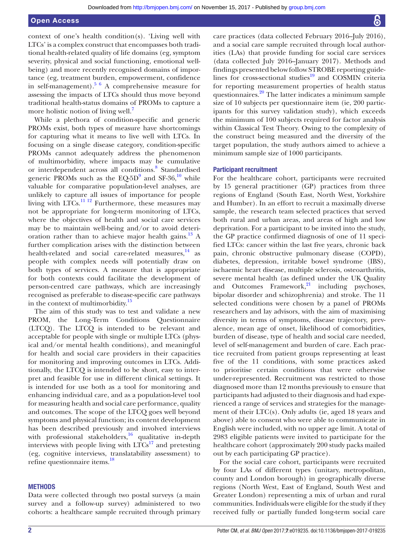context of one's health condition(s). 'Living well with LTCs' is a complex construct that encompasses both traditional health-related quality of life domains (eg, symptom severity, physical and social functioning, emotional wellbeing) and more recently recognised domains of importance (eg, treatment burden, empowerment, confidence in self-management).<sup>[5 6](#page-10-3)</sup> A comprehensive measure for assessing the impacts of LTCs should thus move beyond traditional health-status domains of PROMs to capture a more holistic notion of living well.<sup>[7](#page-10-4)</sup>

While a plethora of condition-specific and generic PROMs exist, both types of measure have shortcomings for capturing what it means to live well with LTCs. In focusing on a single disease category, condition-specific PROMs cannot adequately address the phenomenon of multimorbidity, where impacts may be cumulative or interdependent across all conditions.<sup>[8](#page-10-5)</sup> Standardised generic PROMs such as the  $EQ-5D<sup>9</sup>$  $EQ-5D<sup>9</sup>$  $EQ-5D<sup>9</sup>$  and SF-36,<sup>[10](#page-10-7)</sup> while valuable for comparative population-level analyses, are unlikely to capture all issues of importance for people living with  $LTCs$ .<sup>[11 12](#page-10-8)</sup> Furthermore, these measures may not be appropriate for long-term monitoring of LTCs, where the objectives of health and social care services may be to maintain well-being and/or to avoid deteri-oration rather than to achieve major health gains.<sup>[13](#page-11-0)</sup> A further complication arises with the distinction between health-related and social care-related measures,<sup>[14](#page-11-1)</sup> as people with complex needs will potentially draw on both types of services. A measure that is appropriate for both contexts could facilitate the development of person-centred care pathways, which are increasingly recognised as preferable to disease-specific care pathways in the context of multimorbidity.<sup>[15](#page-11-2)</sup>

The aim of this study was to test and validate a new PROM, the Long-Term Conditions Questionnaire (LTCQ). The LTCQ is intended to be relevant and acceptable for people with single or multiple LTCs (physical and/or mental health conditions), and meaningful for health and social care providers in their capacities for monitoring and improving outcomes in LTCs. Additionally, the LTCQ is intended to be short, easy to interpret and feasible for use in different clinical settings. It is intended for use both as a tool for monitoring and enhancing individual care, and as a population-level tool for measuring health and social care performance, quality and outcomes. The scope of the LTCQ goes well beyond symptoms and physical function; its content development has been described previously and involved interviews with professional stakeholders, $\frac{16}{16}$  $\frac{16}{16}$  $\frac{16}{16}$  qualitative in-depth interviews with people living with  $LTCs<sup>17</sup>$  $LTCs<sup>17</sup>$  $LTCs<sup>17</sup>$  and pretesting (eg, cognitive interviews, translatability assessment) to refine questionnaire items.<sup>[18](#page-11-5)</sup>

#### **METHODS**

Data were collected through two postal surveys (a main survey and a follow-up survey) administered to two cohorts: a healthcare sample recruited through primary care practices (data collected February 2016–July 2016), and a social care sample recruited through local authorities (LAs) that provide funding for social care services (data collected July 2016–January 2017). Methods and findings presented below follow STROBE reporting guide-lines for cross-sectional studies<sup>[19](#page-11-6)</sup> and COSMIN criteria for reporting measurement properties of health status questionnaires.<sup>[20](#page-11-7)</sup> The latter indicates a minimum sample size of 10 subjects per questionnaire item (ie, 200 participants for this survey validation study), which exceeds the minimum of 100 subjects required for factor analysis within Classical Test Theory. Owing to the complexity of the construct being measured and the diversity of the target population, the study authors aimed to achieve a minimum sample size of 1000 participants.

#### Participant recruitment

For the healthcare cohort, participants were recruited by 15 general practitioner (GP) practices from three regions of England (South East, North West, Yorkshire and Humber). In an effort to recruit a maximally diverse sample, the research team selected practices that served both rural and urban areas, and areas of high and low deprivation. For a participant to be invited into the study, the GP practice confirmed diagnosis of one of 11 specified LTCs: cancer within the last five years, chronic back pain, chronic obstructive pulmonary disease (COPD), diabetes, depression, irritable bowel syndrome (IBS), ischaemic heart disease, multiple sclerosis, osteoarthritis, severe mental health (as defined under the UK Quality and Outcomes Framework, $2^1$  including psychoses, bipolar disorder and schizophrenia) and stroke. The 11 selected conditions were chosen by a panel of PROMs researchers and lay advisors, with the aim of maximising diversity in terms of symptoms, disease trajectory, prevalence, mean age of onset, likelihood of comorbidities, burden of disease, type of health and social care needed, level of self-management and burden of care. Each practice recruited from patient groups representing at least five of the 11 conditions, with some practices asked to prioritise certain conditions that were otherwise under-represented. Recruitment was restricted to those diagnosed more than 12 months previously to ensure that participants had adjusted to their diagnosis and had experienced a range of services and strategies for the management of their LTC(s). Only adults (ie, aged 18 years and above) able to consent who were able to communicate in English were included, with no upper age limit. A total of 2983 eligible patients were invited to participate for the healthcare cohort (approximately 200 study packs mailed out by each participating GP practice).

For the social care cohort, participants were recruited by four LAs of different types (unitary, metropolitan, county and London borough) in geographically diverse regions (North West, East of England, South West and Greater London) representing a mix of urban and rural communities. Individuals were eligible for the study if they received fully or partially funded long-term social care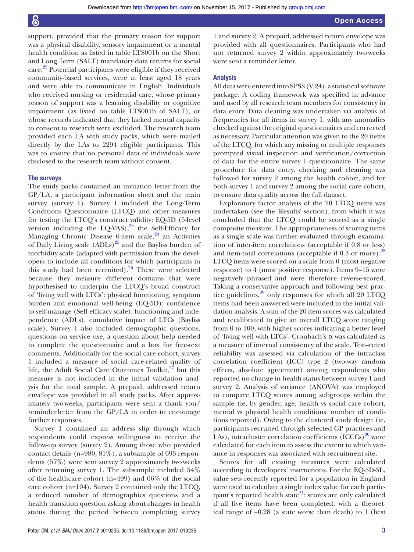<span id="page-3-0"></span>support, provided that the primary reason for support was a physical disability, sensory impairment or a mental health condition as listed in table LTS001b on the Short and Long Term (SALT) mandatory data returns for social care. [22](#page-11-9) Potential participants were eligible if they received community-based services, were at least aged 18 years and were able to communicate in English. Individuals who received nursing or residential care, whose primary reason of support was a learning disability or cognitive impairment (as listed on table LTS001b of SALT), or whose records indicated that they lacked mental capacity to consent to research were excluded. The research team provided each LA with study packs, which were mailed directly by the LAs to 2294 eligible participants. This was to ensure that no personal data of individuals were disclosed to the research team without consent.

#### The surveys

The study packs contained an invitation letter from the GP/LA, a participant information sheet and the main survey (survey 1). Survey 1 included the Long-Term Conditions Questionnaire (LTCQ) and other measures for testing the LTCQ's construct validity: EQ-5D (5-level version including the EQ-VAS),<sup>[23](#page-11-10)</sup> the Self-Efficacy for Managing Chronic Disease 6-item scale, $24$  an Activities of Daily Living scale  $(ADLs)^{25}$  $(ADLs)^{25}$  $(ADLs)^{25}$  and the Bayliss burden of morbidity scale (adapted with permission from the developers to include all conditions for which participants in this study had been recruited).[26](#page-11-13) These were selected because they measure different domains that were hypothesised to underpin the LTCQ's broad construct of 'living well with LTCs': physical functioning, symptom burden and emotional well-being (EQ-5D); confidence to self-manage (Self-efficacy scale), functioning and independence (ADLs), cumulative impact of LTCs (Bayliss scale). Survey 1 also included demographic questions, questions on service use, a question about help needed to complete the questionnaire and a box for free-text comments. Additionally for the social care cohort, survey 1 included a measure of social care-related quality of life, the Adult Social Care Outcomes Toolkit, $27$  but this measure is not included in the initial validation analysis for the total sample. A prepaid, addressed return envelope was provided in all study packs. After approximately two weeks, participants were sent a thank you/ reminder letter from the GP/LA in order to encourage further responses.

Survey 1 contained an address slip through which respondents could express willingness to receive the follow-up survey (survey 2). Among those who provided contact details (n=980, 81%), a subsample of 693 respondents (57%) were sent survey 2 approximately two weeks after returning survey 1. The subsample included 54% of the healthcare cohort (n=499) and 66% of the social care cohort (n=194). Survey 2 contained only the LTCQ, a reduced number of demographics questions and a health transition question asking about changes in health status during the period between completing survey

1 and survey 2. A prepaid, addressed return envelope was provided with all questionnaires. Participants who had not returned survey 2 within approximately two weeks were sent a reminder letter.

#### Analysis

All data were entered into SPSS (V.24), a statistical software package. A coding framework was specified in advance and used by all research team members for consistency in data entry. Data cleaning was undertaken via analysis of frequencies for all items in survey 1, with any anomalies checked against the original questionnaires and corrected as necessary. Particular attention was given to the 20 items of the LTCQ, for which any missing or multiple responses prompted visual inspection and verification/correction of data for the entire survey 1 questionnaire. The same procedure for data entry, checking and cleaning was followed for survey 2 among the health cohort, and for both survey 1 and survey 2 among the social care cohort, to ensure data quality across the full dataset.

Exploratory factor analysis of the 20 LTCQ items was undertaken (see the 'Results' section), from which it was concluded that the LTCQ could be scored as a single composite measure. The appropriateness of scoring items as a single scale was further evaluated through examination of inter-item correlations (acceptable if 0.8 or less) and item-total correlations (acceptable if 0.3 or more).<sup>[28](#page-11-15)</sup> LTCQ items were scored on a scale from 0 (most negative response) to 4 (most positive response). Items 9–15 were negatively phrased and were therefore reverse-scored. Taking a conservative approach and following best practice guidelines, $^{29}$  $^{29}$  $^{29}$  only responses for which all 20 LTCQ items had been answered were included in the initial validation analysis. A sum of the 20 item scores was calculated and recalibrated to give an overall LTCQ score ranging from 0 to 100, with higher scores indicating a better level of 'living well with LTCs'. Cronbach's  $\alpha$  was calculated as a measure of internal consistency of the scale. Test–retest reliability was assessed via calculation of the intraclass correlation coefficient (ICC) type 2 (two-way random effects, absolute agreement) among respondents who reported no change in health status between survey 1 and survey 2. Analysis of variance (ANOVA) was employed to compare LTCQ scores among subgroups within the sample (ie, by gender, age, health vs social care cohort, mental vs physical health conditions, number of conditions reported). Owing to the clustered study design (ie, participants recruited through selected GP practices and LAs), intracluster correlation coefficients  ${(ICCCs)}^{30}$  ${(ICCCs)}^{30}$  ${(ICCCs)}^{30}$  were calculated for each item to assess the extent to which variance in responses was associated with recruitment site.

Scores for all existing measures were calculated according to developers' instructions. For the EQ-5D-5L, value sets recently reported for a population in England were used to calculate a single index value for each partic-ipant's reported health state<sup>[31](#page-11-18)</sup>; scores are only calculated if all five items have been completed, with a theoretical range of −0.28 (a state worse than death) to 1 (best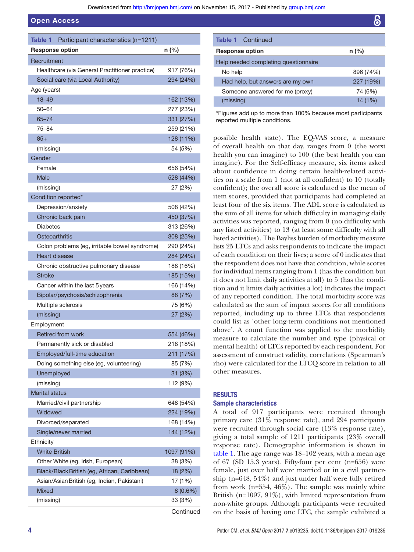#### Open Access

| Participant characteristics (n=1211)<br>Table 1 |            |
|-------------------------------------------------|------------|
| <b>Response option</b>                          | n (%)      |
| Recruitment                                     |            |
| Healthcare (via General Practitioner practice)  | 917 (76%)  |
| Social care (via Local Authority)               | 294 (24%)  |
| Age (years)                                     |            |
| $18 - 49$                                       | 162 (13%)  |
| $50 - 64$                                       | 277 (23%)  |
| $65 - 74$                                       | 331 (27%)  |
| $75 - 84$                                       | 259 (21%)  |
| $85+$                                           | 128 (11%)  |
| (missing)                                       | 54 (5%)    |
| Gender                                          |            |
| Female                                          | 656 (54%)  |
| <b>Male</b>                                     | 528 (44%)  |
| (missing)                                       | 27 (2%)    |
| Condition reported*                             |            |
| Depression/anxiety                              | 508 (42%)  |
| Chronic back pain                               | 450 (37%)  |
| <b>Diabetes</b>                                 | 313 (26%)  |
| Osteoarthritis                                  | 308 (25%)  |
| Colon problems (eg, irritable bowel syndrome)   | 290 (24%)  |
| Heart disease                                   | 284 (24%)  |
| Chronic obstructive pulmonary disease           | 188 (16%)  |
| <b>Stroke</b>                                   | 185 (15%)  |
| Cancer within the last 5 years                  | 166 (14%)  |
| Bipolar/psychosis/schizophrenia                 | 88 (7%)    |
| Multiple sclerosis                              | 75 (6%)    |
| (missing)                                       | 27 (2%)    |
| Employment                                      |            |
| Retired from work                               | 554 (46%)  |
| Permanently sick or disabled                    | 218 (18%)  |
| Employed/full-time education                    | 211 (17%)  |
| Doing something else (eg, volunteering)         | 85 (7%)    |
| Unemployed                                      | 31 (3%)    |
| (missing)                                       | 112 (9%)   |
| <b>Marital status</b>                           |            |
| Married/civil partnership                       | 648 (54%)  |
| Widowed                                         | 224 (19%)  |
| Divorced/separated                              | 168 (14%)  |
| Single/never married                            | 144 (12%)  |
| Ethnicity                                       |            |
| <b>White British</b>                            | 1097 (91%) |
| Other White (eg, Irish, European)               | 38 (3%)    |
| Black/Black British (eg, African, Caribbean)    | 18 (2%)    |
| Asian/Asian British (eg, Indian, Pakistani)     | 17 (1%)    |
| <b>Mixed</b>                                    | $8(0.6\%)$ |
| (missing)                                       | 33 (3%)    |
|                                                 | Continued  |

| <b>Table 1</b> Continued             |           |
|--------------------------------------|-----------|
| <b>Response option</b>               | $n$ (%)   |
| Help needed completing questionnaire |           |
| No help                              | 896 (74%) |
| Had help, but answers are my own     | 227 (19%) |
| Someone answered for me (proxy)      | 74 (6%)   |
| (missing)                            | 14(1%)    |

\*Figures add up to more than 100% because most participants reported multiple conditions.

possible health state). The EQ-VAS score, a measure of overall health on that day, ranges from 0 (the worst health you can imagine) to 100 (the best health you can imagine). For the Self-efficacy measure, six items asked about confidence in doing certain health-related activities on a scale from 1 (not at all confident) to 10 (totally confident); the overall score is calculated as the mean of item scores, provided that participants had completed at least four of the six items. The ADL score is calculated as the sum of all items for which difficulty in managing daily activities was reported, ranging from 0 (no difficulty with any listed activities) to 13 (at least some difficulty with all listed activities). The Bayliss burden of morbidity measure lists 25 LTCs and asks respondents to indicate the impact of each condition on their lives; a score of 0 indicates that the respondent does not have that condition, while scores for individual items ranging from 1 (has the condition but it does not limit daily activities at all) to 5 (has the condition and it limits daily activities a lot) indicates the impact of any reported condition. The total morbidity score was calculated as the sum of impact scores for all conditions reported, including up to three LTCs that respondents could list as 'other long-term conditions not mentioned above'. A count function was applied to the morbidity measure to calculate the number and type (physical or mental health) of LTCs reported by each respondent. For assessment of construct validity, correlations (Spearman's rho) were calculated for the LTCQ score in relation to all other measures.

#### RESULTS

#### Sample characteristics

<span id="page-4-0"></span>A total of 917 participants were recruited through primary care (31% response rate), and 294 participants were recruited through social care (13% response rate), giving a total sample of 1211 participants (23% overall response rate). Demographic information is shown in [table 1](#page-3-0). The age range was 18–102 years, with a mean age of 67 (SD 15.3 years). Fifty-four per cent (n=656) were female, just over half were married or in a civil partnership (n=648, 54%) and just under half were fully retired from work (n=554, 46%). The sample was mainly white British (n=1097, 91%), with limited representation from non-white groups. Although participants were recruited on the basis of having one LTC, the sample exhibited a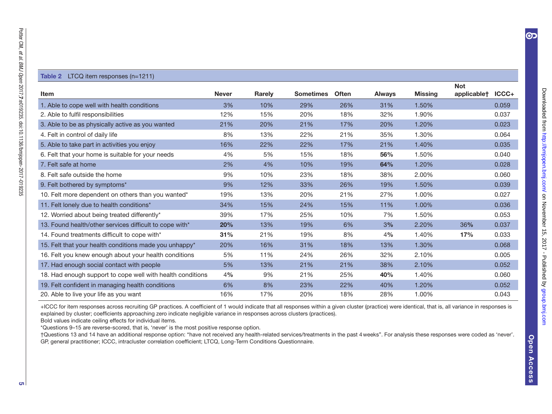#### <span id="page-5-0"></span>Table 2 LTCQ item responses (n=1211)

|                                                            |              |               |                  |              |               |         | <b>Not</b>  |       |
|------------------------------------------------------------|--------------|---------------|------------------|--------------|---------------|---------|-------------|-------|
| <b>Item</b>                                                | <b>Never</b> | <b>Rarely</b> | <b>Sometimes</b> | <b>Often</b> | <b>Always</b> | Missing | applicable† | ICCC+ |
| 1. Able to cope well with health conditions                | 3%           | 10%           | 29%              | 26%          | 31%           | 1.50%   |             | 0.059 |
| 2. Able to fulfil responsibilities                         | 12%          | 15%           | 20%              | 18%          | 32%           | 1.90%   |             | 0.037 |
| 3. Able to be as physically active as you wanted           | 21%          | 20%           | 21%              | 17%          | 20%           | 1.20%   |             | 0.023 |
| 4. Felt in control of daily life                           | 8%           | 13%           | 22%              | 21%          | 35%           | 1.30%   |             | 0.064 |
| 5. Able to take part in activities you enjoy               | 16%          | 22%           | 22%              | 17%          | 21%           | 1.40%   |             | 0.035 |
| 6. Felt that your home is suitable for your needs          | 4%           | 5%            | 15%              | 18%          | 56%           | 1.50%   |             | 0.040 |
| 7. Felt safe at home                                       | 2%           | 4%            | 10%              | 19%          | 64%           | 1.20%   |             | 0.028 |
| 8. Felt safe outside the home                              | 9%           | 10%           | 23%              | 18%          | 38%           | 2.00%   |             | 0.060 |
| 9. Felt bothered by symptoms*                              | 9%           | 12%           | 33%              | 26%          | 19%           | 1.50%   |             | 0.039 |
| 10. Felt more dependent on others than you wanted*         | 19%          | 13%           | 20%              | 21%          | 27%           | 1.00%   |             | 0.027 |
| 11. Felt lonely due to health conditions*                  | 34%          | 15%           | 24%              | 15%          | 11%           | 1.00%   |             | 0.036 |
| 12. Worried about being treated differently*               | 39%          | 17%           | 25%              | 10%          | 7%            | 1.50%   |             | 0.053 |
| 13. Found health/other services difficult to cope with*    | 20%          | 13%           | 19%              | 6%           | 3%            | 2.20%   | 36%         | 0.037 |
| 14. Found treatments difficult to cope with*               | 31%          | 21%           | 19%              | 8%           | 4%            | 1.40%   | 17%         | 0.033 |
| 15. Felt that your health conditions made you unhappy*     | 20%          | 16%           | 31%              | 18%          | 13%           | 1.30%   |             | 0.068 |
| 16. Felt you knew enough about your health conditions      | 5%           | 11%           | 24%              | 26%          | 32%           | 2.10%   |             | 0.005 |
| 17. Had enough social contact with people                  | 5%           | 13%           | 21%              | 21%          | 38%           | 2.10%   |             | 0.052 |
| 18. Had enough support to cope well with health conditions | 4%           | 9%            | 21%              | 25%          | 40%           | 1.40%   |             | 0.060 |
| 19. Felt confident in managing health conditions           | 6%           | 8%            | 23%              | 22%          | 40%           | 1.20%   |             | 0.052 |
| 20. Able to live your life as you want                     | 16%          | 17%           | 20%              | 18%          | 28%           | 1.00%   |             | 0.043 |

+ICCC for item responses across recruiting GP practices. A coeficient of 1 would indicate that all responses within a given cluster (practice) were identical, that is, all variance in responses is explained by cluster; coeficients approaching zero indicate negligible variance in responses across clusters (practices).

Bold values indicate ceiling effects for individual items.

\*Questions 9–15 are reverse-scored, that is, 'never' is the most positive response option.

 †Questions 13 and 14 have an additional response option: "have not received any health-related services/treatments in the past 4 weeks". For analysis these responses were coded as 'never'.GP, general practitioner; ICCC, intracluster correlation coeficient; LTCQ, Long-Term Conditions Questionnaire.

OP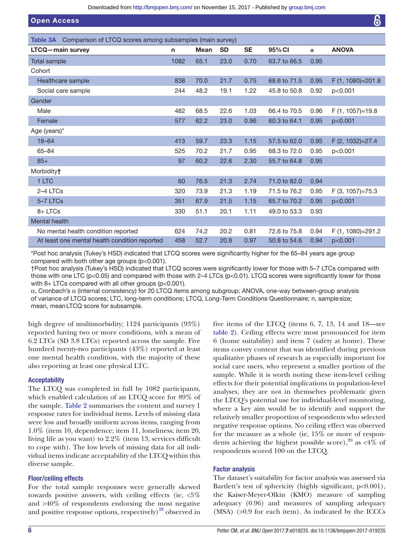Downloaded from<http://bmjopen.bmj.com/>on November 15, 2017 - Published by [group.bmj.com](http://group.bmj.com)

<span id="page-6-0"></span>

| <b>Open Access</b>                                                   |      |             |           |           |              |          | 6                   |
|----------------------------------------------------------------------|------|-------------|-----------|-----------|--------------|----------|---------------------|
| Comparison of LTCQ scores among subsamples (main survey)<br>Table 3A |      |             |           |           |              |          |                     |
| <b>LTCQ</b> -main survey                                             | n.   | <b>Mean</b> | <b>SD</b> | <b>SE</b> | 95% CI       | $\alpha$ | <b>ANOVA</b>        |
| <b>Total sample</b>                                                  | 1082 | 65.1        | 23.0      | 0.70      | 63.7 to 66.5 | 0.95     |                     |
| Cohort                                                               |      |             |           |           |              |          |                     |
| Healthcare sample                                                    | 838  | 70.0        | 21.7      | 0.75      | 68.6 to 71.5 | 0.95     | F (1, 1080)=201.8   |
| Social care sample                                                   | 244  | 48.2        | 19.1      | 1.22      | 45.8 to 50.8 | 0.92     | p<0.001             |
| Gender                                                               |      |             |           |           |              |          |                     |
| Male                                                                 | 482  | 68.5        | 22.6      | 1.03      | 66.4 to 70.5 | 0.96     | $F(1, 1057) = 19.8$ |
| Female                                                               | 577  | 62.2        | 23.0      | 0.96      | 60.3 to 64.1 | 0.95     | p<0.001             |
| Age (years)*                                                         |      |             |           |           |              |          |                     |
| $18 - 64$                                                            | 413  | 59.7        | 23.3      | 1.15      | 57.5 to 62.0 | 0.95     | F (2, 1032)=27.4    |
| 65-84                                                                | 525  | 70.2        | 21.7      | 0.95      | 68.3 to 72.0 | 0.95     | p<0.001             |
| $85+$                                                                | 97   | 60.2        | 22.6      | 2.30      | 55.7 to 64.8 | 0.95     |                     |
| Morbidity <sup>+</sup>                                               |      |             |           |           |              |          |                     |
| 1 LTC                                                                | 60   | 76.5        | 21.3      | 2.74      | 71.0 to 82.0 | 0.94     |                     |
| 2-4 LTCs                                                             | 320  | 73.9        | 21.3      | 1.19      | 71.5 to 76.2 | 0.95     | $F(3, 1057) = 75.3$ |
| 5-7 LTCs                                                             | 351  | 67.9        | 21.5      | 1.15      | 65.7 to 70.2 | 0.95     | p<0.001             |
| 8+LTCs                                                               | 330  | 51.1        | 20.1      | 1.11      | 49.0 to 53.3 | 0.93     |                     |
| Mental health                                                        |      |             |           |           |              |          |                     |
| No mental health condition reported                                  | 624  | 74.2        | 20.2      | 0.81      | 72.6 to 75.8 | 0.94     | F (1, 1080)=291.2   |
| At least one mental health condition reported                        | 458  | 52.7        | 20.8      | 0.97      | 50.8 to 54.6 | 0.94     | p<0.001             |

\*Post hoc analysis (Tukey's HSD) indicated that LTCQ scores were signiicantly higher for the 65–84 years age group compared with both other age groups (p<0.001).

†Post hoc analysis (Tukey's HSD) indicated that LTCQ scores were signiicantly lower for those with 5–7 LTCs compared with those with one LTC ( $p<0.05$ ) and compared with those with 2–4 LTCs ( $p<0.01$ ). LTCQ scores were significantly lower for those with  $8+$  LTCs compared with all other groups ( $p<0.001$ ).

α, Cronbach's α (internal consistency) for 20 LTCQ items among subgroup; ANOVA, one-way between-group analysis of variance of LTCQ scores; LTC, long-term conditions; LTCQ, Long-Term Conditions Questionnaire; n, sample size; mean, mean LTCQ score for subsample.

high degree of multimorbidity; 1124 participants (93%) reported having two or more conditions, with a mean of 6.2 LTCs (SD 3.8 LTCs) reported across the sample. Five hundred twenty-two participants (43%) reported at least one mental health condition, with the majority of these also reporting at least one physical LTC.

#### **Acceptability**

The LTCQ was completed in full by 1082 participants, which enabled calculation of an LTCQ score for 89% of the sample. [Table 2](#page-4-0) summarises the content and survey 1 response rates for individual items. Levels of missing data were low and broadly uniform across items, ranging from 1.0% (item 10, dependence; item 11, loneliness; item 20, living life as you want) to 2.2% (item 13, services difficult to cope with). The low levels of missing data for all individual items indicate acceptability of the LTCQ within this diverse sample.

#### Floor/ceiling effects

For the total sample responses were generally skewed towards positive answers, with ceiling effects (ie, <5% and >40% of respondents endorsing the most negative and positive response options, respectively) $^{28}$  $^{28}$  $^{28}$  observed in

five items of the LTCQ (items 6, 7, 13, 14 and 18—see [table 2\)](#page-4-0). Ceiling effects were most pronounced for item 6 (home suitability) and item 7 (safety at home). These items convey content that was identified during previous qualitative phases of research as especially important for social care users, who represent a smaller portion of the sample. While it is worth noting these item-level ceiling effects for their potential implications in population-level analyses, they are not in themselves problematic given the LTCQ's potential use for individual-level monitoring, where a key aim would be to identify and support the relatively smaller proportion of respondents who selected negative response options. No ceiling effect was observed for the measure as a whole (ie, 15% or more of respondents achieving the highest possible score),  $20$  as <4% of respondents scored 100 on the LTCQ.

#### Factor analysis

The dataset's suitability for factor analysis was assessed via Bartlett's test of sphericity (highly significant,  $p<0.001$ ), the Kaiser-Meyer-Olkin (KMO) measure of sampling adequacy (0.96) and measures of sampling adequacy (MSA) (>0.9 for each item). As indicated by the ICCCs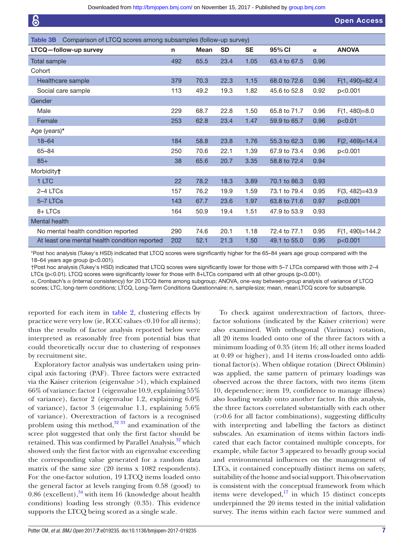| စြ                                                                               |     |             |           |           |              |          | <b>Open Access</b> |
|----------------------------------------------------------------------------------|-----|-------------|-----------|-----------|--------------|----------|--------------------|
| Comparison of LTCQ scores among subsamples (follow-up survey)<br><b>Table 3B</b> |     |             |           |           |              |          |                    |
| LTCQ-follow-up survey                                                            | n   | <b>Mean</b> | <b>SD</b> | <b>SE</b> | 95% CI       | $\alpha$ | <b>ANOVA</b>       |
| <b>Total sample</b>                                                              | 492 | 65.5        | 23.4      | 1.05      | 63.4 to 67.5 | 0.96     |                    |
| Cohort                                                                           |     |             |           |           |              |          |                    |
| Healthcare sample                                                                | 379 | 70.3        | 22.3      | 1.15      | 68.0 to 72.6 | 0.96     | $F(1, 490)=82.4$   |
| Social care sample                                                               | 113 | 49.2        | 19.3      | 1.82      | 45.6 to 52.8 | 0.92     | p<0.001            |
| Gender                                                                           |     |             |           |           |              |          |                    |
| Male                                                                             | 229 | 68.7        | 22.8      | 1.50      | 65.8 to 71.7 | 0.96     | $F(1, 480)=8.0$    |
| Female                                                                           | 253 | 62.8        | 23.4      | 1.47      | 59.9 to 65.7 | 0.96     | p<0.01             |
| Age (years)*                                                                     |     |             |           |           |              |          |                    |
| $18 - 64$                                                                        | 184 | 58.8        | 23.8      | 1.76      | 55.3 to 62.3 | 0.96     | $F(2, 469)=14.4$   |
| $65 - 84$                                                                        | 250 | 70.6        | 22.1      | 1.39      | 67.9 to 73.4 | 0.96     | p<0.001            |
| $85+$                                                                            | 38  | 65.6        | 20.7      | 3.35      | 58.8 to 72.4 | 0.94     |                    |
| Morbidity <sup>+</sup>                                                           |     |             |           |           |              |          |                    |
| 1 LTC                                                                            | 22  | 78.2        | 18.3      | 3.89      | 70.1 to 86.3 | 0.93     |                    |
| $2-4$ LTCs                                                                       | 157 | 76.2        | 19.9      | 1.59      | 73.1 to 79.4 | 0.95     | $F(3, 482)=43.9$   |
| 5-7 LTCs                                                                         | 143 | 67.7        | 23.6      | 1.97      | 63.8 to 71.6 | 0.97     | p<0.001            |
| 8+LTCs                                                                           | 164 | 50.9        | 19.4      | 1.51      | 47.9 to 53.9 | 0.93     |                    |
| <b>Mental health</b>                                                             |     |             |           |           |              |          |                    |
| No mental health condition reported                                              | 290 | 74.6        | 20.1      | 1.18      | 72.4 to 77.1 | 0.95     | $F(1, 490)=144.2$  |
| At least one mental health condition reported                                    | 202 | 52.1        | 21.3      | 1.50      | 49.1 to 55.0 | 0.95     | p<0.001            |

<span id="page-7-0"></span>\*Post hoc analysis (Tukey's HSD) indicated that LTCQ scores were signiicantly higher for the 65–84 years age group compared with the 18–64 years age group (p<0.001).

†Post hoc analysis (Tukey's HSD) indicated that LTCQ scores were signiicantly lower for those with 5–7 LTCs compared with those with 2–4 LTCs (p<0.01). LTCQ scores were significantly lower for those with 8+LTCs compared with all other groups (p<0.001).

α, Cronbach's α (internal consistency) for 20 LTCQ items among subgroup; ANOVA, one-way between-group analysis of variance of LTCQ scores; LTC, long-term conditions; LTCQ, Long-Term Conditions Questionnaire; n, sample size; mean, mean LTCQ score for subsample.

reported for each item in [table 2](#page-4-0), clustering effects by practice were very low (ie, ICCC values <0.10 for all items); thus the results of factor analysis reported below were interpreted as reasonably free from potential bias that could theoretically occur due to clustering of responses by recruitment site.

Exploratory factor analysis was undertaken using principal axis factoring (PAF). Three factors were extracted via the Kaiser criterion (eigenvalue >1), which explained 66% of variance: factor 1 (eigenvalue 10.9, explaining 55% of variance), factor 2 (eigenvalue 1.2, explaining 6.0% of variance), factor 3 (eigenvalue 1.1, explaining 5.6% of variance). Overextraction of factors is a recognised problem using this method, $32 \frac{33}{3}$  and examination of the scree plot suggested that only the first factor should be retained. This was confirmed by Parallel Analysis,<sup>[32](#page-11-19)</sup> which showed only the first factor with an eigenvalue exceeding the corresponding value generated for a random data matrix of the same size (20 items x 1082 respondents). For the one-factor solution, 19 LTCQ items loaded onto the general factor at levels ranging from 0.58 (good) to  $0.86$  (excellent),  $34$  with item 16 (knowledge about health conditions) loading less strongly (0.35). This evidence supports the LTCQ being scored as a single scale.

also examined. With orthogonal (Varimax) rotation, all 20 items loaded onto one of the three factors with a minimum loading of 0.35 (item 16; all other items loaded at 0.49 or higher), and 14 items cross-loaded onto additional factor(s). When oblique rotation (Direct Oblimin) was applied, the same pattern of primary loadings was observed across the three factors, with two items (item 10, dependence; item 19, confidence to manage illness) also loading weakly onto another factor. In this analysis, the three factors correlated substantially with each other (r>0.6 for all factor combinations), suggesting difficulty with interpreting and labelling the factors as distinct subscales. An examination of items within factors indicated that each factor contained multiple concepts, for example, while factor 3 appeared to broadly group social and environmental influences on the management of LTCs, it contained conceptually distinct items on safety, suitability of the home and social support. This observation is consistent with the conceptual framework from which items were developed, $^{17}$  $^{17}$  $^{17}$  in which 15 distinct concepts underpinned the 20 items tested in the initial validation survey. The items within each factor were summed and

To check against underextraction of factors, threefactor solutions (indicated by the Kaiser criterion) were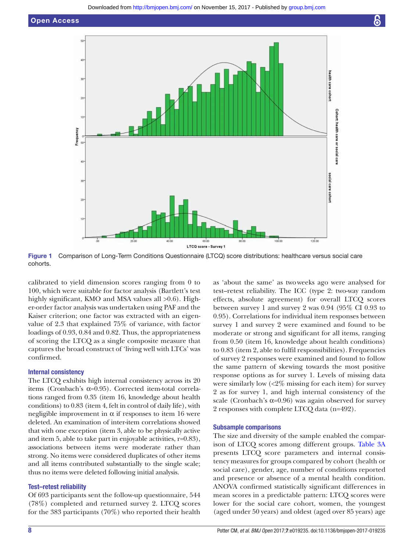

<span id="page-8-0"></span>Figure 1 Comparison of Long-Term Conditions Questionnaire (LTCQ) score distributions: healthcare versus social care cohorts.

calibrated to yield dimension scores ranging from 0 to 100, which were suitable for factor analysis (Bartlett's test highly significant, KMO and MSA values all  $>0.6$ ). Higher-order factor analysis was undertaken using PAF and the Kaiser criterion; one factor was extracted with an eigenvalue of 2.3 that explained 75% of variance, with factor loadings of 0.93, 0.84 and 0.82. Thus, the appropriateness of scoring the LTCQ as a single composite measure that captures the broad construct of 'living well with LTCs' was confirmed.

#### Internal consistency

The LTCQ exhibits high internal consistency across its 20 items (Cronbach's α=0.95). Corrected item-total correlations ranged from 0.35 (item 16, knowledge about health conditions) to 0.83 (item 4, felt in control of daily life), with negligible improvement in  $\alpha$  if responses to item 16 were deleted. An examination of inter-item correlations showed that with one exception (item 3, able to be physically active and item 5, able to take part in enjoyable activities, r=0.83), associations between items were moderate rather than strong. No items were considered duplicates of other items and all items contributed substantially to the single scale; thus no items were deleted following initial analysis.

#### Test–retest reliability

Of 693 participants sent the follow-up questionnaire, 544 (78%) completed and returned survey 2. LTCQ scores for the 383 participants (70%) who reported their health

as 'about the same' as two weeks ago were analysed for test–retest reliability. The ICC (type 2: two-way random effects, absolute agreement) for overall LTCQ scores between survey 1 and survey 2 was 0.94 (95% CI 0.93 to 0.95). Correlations for individual item responses between survey 1 and survey 2 were examined and found to be moderate or strong and significant for all items, ranging from 0.50 (item 16, knowledge about health conditions) to 0.83 (item 2, able to fulfil responsibilities). Frequencies of survey 2 responses were examined and found to follow the same pattern of skewing towards the most positive response options as for survey 1. Levels of missing data were similarly low  $\langle 2\%$  missing for each item) for survey 2 as for survey 1, and high internal consistency of the scale (Cronbach's  $\alpha$ =0.96) was again observed for survey 2 responses with complete LTCQ data (n=492).

#### Subsample comparisons

The size and diversity of the sample enabled the comparison of LTCQ scores among different groups. [Table 3A](#page-5-0) presents LTCQ score parameters and internal consistency measures for groups compared by cohort (health or social care), gender, age, number of conditions reported and presence or absence of a mental health condition. ANOVA confirmed statistically significant differences in mean scores in a predictable pattern: LTCQ scores were lower for the social care cohort, women, the youngest (aged under 50 years) and oldest (aged over 85 years) age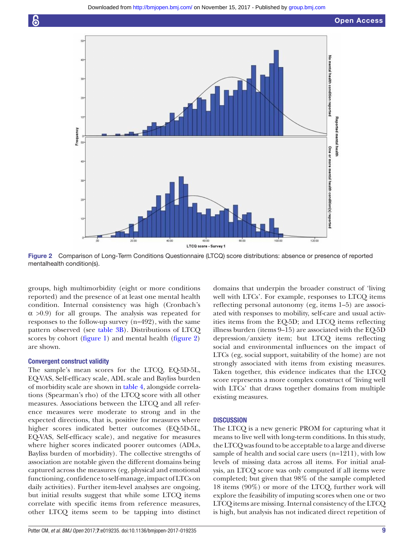



Figure 2 Comparison of Long-Term Conditions Questionnaire (LTCQ) score distributions: absence or presence of reported mentalhealth condition(s).

groups, high multimorbidity (eight or more conditions reported) and the presence of at least one mental health condition. Internal consistency was high (Cronbach's  $\alpha$  >0.9) for all groups. The analysis was repeated for responses to the follow-up survey (n=492), with the same pattern observed (see [table 3B\)](#page-6-0). Distributions of LTCQ scores by cohort [\(figure 1\)](#page-7-0) and mental health ([figure 2](#page-8-0)) are shown.

#### Convergent construct validity

<span id="page-9-0"></span>The sample's mean scores for the LTCQ, EQ-5D-5L, EQ-VAS, Self-efficacy scale, ADL scale and Bayliss burden of morbidity scale are shown in [table 4](#page-9-0), alongside correlations (Spearman's rho) of the LTCQ score with all other measures. Associations between the LTCQ and all reference measures were moderate to strong and in the expected directions, that is, positive for measures where higher scores indicated better outcomes (EQ-5D-5L, EQ-VAS, Self-efficacy scale), and negative for measures where higher scores indicated poorer outcomes (ADLs, Bayliss burden of morbidity). The collective strengths of association are notable given the different domains being captured across the measures (eg, physical and emotional functioning, confidence to self-manage, impact of LTCs on daily activities). Further item-level analyses are ongoing, but initial results suggest that while some LTCQ items correlate with specific items from reference measures, other LTCQ items seem to be tapping into distinct

domains that underpin the broader construct of 'living well with LTCs'. For example, responses to LTCQ items reflecting personal autonomy (eg, items 1–5) are associated with responses to mobility, self-care and usual activities items from the EQ-5D; and LTCQ items reflecting illness burden (items 9–15) are associated with the EQ-5D depression/anxiety item; but LTCQ items reflecting social and environmental influences on the impact of LTCs (eg, social support, suitability of the home) are not strongly associated with items from existing measures. Taken together, this evidence indicates that the LTCQ score represents a more complex construct of 'living well with LTCs' that draws together domains from multiple existing measures.

#### **DISCUSSION**

The LTCQ is a new generic PROM for capturing what it means to live well with long-term conditions. In this study, the LTCQ was found to be acceptable to a large and diverse sample of health and social care users (n=1211), with low levels of missing data across all items. For initial analysis, an LTCQ score was only computed if all items were completed; but given that 98% of the sample completed 18 items (90%) or more of the LTCQ, further work will explore the feasibility of imputing scores when one or two LTCQ items are missing. Internal consistency of the LTCQ is high, but analysis has not indicated direct repetition of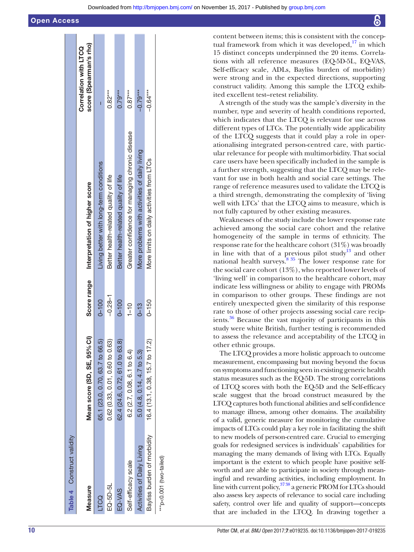content between items; this is consistent with the conceptual framework from which it was developed, $17$  in which 15 distinct concepts underpinned the 20 items. Correlations with all reference measures (EQ-5D-5L, EQ-VAS, Self-efficacy scale, ADLs, Bayliss burden of morbidity) were strong and in the expected directions, supporting construct validity. Among this sample the LTCQ exhibited excellent test–retest reliability.

A strength of the study was the sample's diversity in the number, type and severity of health conditions reported, which indicates that the LTCQ is relevant for use across different types of LTCs. The potentially wide applicability of the LTCQ suggests that it could play a role in operationalising integrated person-centred care, with particular relevance for people with multimorbidity. That social care users have been specifically included in the sample is a further strength, suggesting that the LTCQ may be relevant for use in both health and social care settings. The range of reference measures used to validate the LTCQ is a third strength, demonstrating the complexity of 'living well with LTCs' that the LTCQ aims to measure, which is not fully captured by other existing measures.

Weaknesses of the study include the lower response rate achieved among the social care cohort and the relative homogeneity of the sample in terms of ethnicity. The response rate for the healthcare cohort (31%) was broadly in line with that of a previous pilot study<sup>[13](#page-11-0)</sup> and other national health surveys. $835$  The lower response rate for the social care cohort (13%), who reported lower levels of 'living well' in comparison to the healthcare cohort, may indicate less willingness or ability to engage with PROMs in comparison to other groups. These findings are not entirely unexpected given the similarity of this response rate to those of other projects assessing social care recipients. $36$  Because the vast majority of participants in this study were white British, further testing is recommended to assess the relevance and acceptability of the LTCQ in other ethnic groups.

<span id="page-10-8"></span><span id="page-10-7"></span><span id="page-10-6"></span><span id="page-10-5"></span><span id="page-10-4"></span><span id="page-10-3"></span><span id="page-10-2"></span><span id="page-10-1"></span><span id="page-10-0"></span>The LTCQ provides a more holistic approach to outcome measurement, encompassing but moving beyond the focus on symptoms and functioning seen in existing generic health status measures such as the EQ-5D. The strong correlations of LTCQ scores with both the EQ-5D and the Self-efficacy scale suggest that the broad construct measured by the LTCQ captures both functional abilities and self-confidence to manage illness, among other domains. The availability of a valid, generic measure for monitoring the cumulative impacts of LTCs could play a key role in facilitating the shift to new models of person-centred care. Crucial to emerging goals for redesigned services is individuals' capabilities for managing the many demands of living with LTCs. Equally important is the extent to which people have positive selfworth and are able to participate in society through meaningful and rewarding activities, including employment. In line with current policy,  $3738$  a generic PROM for LTCs should also assess key aspects of relevance to social care including safety, control over life and quality of support—concepts that are included in the LTCQ. In drawing together a

| Table 4 Construct validity        |                                 |             |                                                 |                                                 |
|-----------------------------------|---------------------------------|-------------|-------------------------------------------------|-------------------------------------------------|
| <b>Measure</b>                    | Mean score (SD, SE, 95% CI)     | Score range | Interpretation of higher score                  | score (Spearman's rho)<br>Correlation with LTCQ |
| LTCQ                              | 65.1 (23.0, 0.70, 63.7 to 66.5) | $0 - 100$   | Living better with long-term conditions         |                                                 |
| EQ-5D-5L                          | 0.62 (0.33, 0.01, 0.60 to 0.63) | $-0.28 - 1$ | Better health-related quality of life           | $0.82***$                                       |
| EQ-VAS                            | 62.4 (24.6, 0.72, 61.0 to 63.8) | $0 - 100$   | Better health-related quality of life           | $0.79***$                                       |
| Self-efficacy scale               | $6.2(2.7, 0.08, 6.1$ to $6.4)$  | $1 - 10$    | Greater confidence for managing chronic disease | $0.87***$                                       |
| <b>Activities of Daily Living</b> | 5.0 (4.8, 0.14, 4.7 to 5.3)     | $0 - 13$    | More problems with activities of daily living   | $-0.79***$                                      |
| Bayliss burden of morbidity       | 16.4 (13.1, 0.38, 15.7 to 17.2) | $0 - 150$   | More limits on daily activities from LTCs       | $-0.64***$                                      |
| $*$ $p$ <0.001 (two-tailed)       |                                 |             |                                                 |                                                 |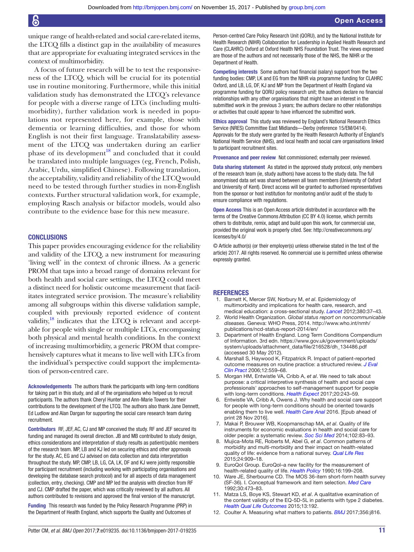6

<span id="page-11-0"></span>unique range of health-related and social care-related items, the LTCQ fills a distinct gap in the availability of measures that are appropriate for evaluating integrated services in the context of multimorbidity.

<span id="page-11-6"></span><span id="page-11-5"></span><span id="page-11-4"></span><span id="page-11-3"></span><span id="page-11-2"></span><span id="page-11-1"></span>A focus of future research will be to test the responsiveness of the LTCQ, which will be crucial for its potential use in routine monitoring. Furthermore, while this initial validation study has demonstrated the LTCQ's relevance for people with a diverse range of LTCs (including multimorbidity), further validation work is needed in populations not represented here, for example, those with dementia or learning difficulties, and those for whom English is not their first language. Translatability assessment of the LTCQ was undertaken during an earlier phase of its development<sup>[18](#page-11-5)</sup> and concluded that it could be translated into multiple languages (eg, French, Polish, Arabic, Urdu, simplified Chinese). Following translation, the acceptability, validity and reliability of the LTCQ would need to be tested through further studies in non-English contexts. Further structural validation work, for example, employing Rasch analysis or bifactor models, would also contribute to the evidence base for this new measure.

#### <span id="page-11-11"></span><span id="page-11-10"></span><span id="page-11-9"></span><span id="page-11-8"></span><span id="page-11-7"></span>**CONCLUSIONS**

<span id="page-11-13"></span><span id="page-11-12"></span>This paper provides encouraging evidence for the reliability and validity of the LTCQ, a new instrument for measuring 'living well' in the context of chronic illness. As a generic PROM that taps into a broad range of domains relevant for both health and social care settings, the LTCQ could meet a distinct need for holistic outcome measurement that facilitates integrated service provision. The measure's reliability among all subgroups within this diverse validation sample, coupled with previously reported evidence of content validity, $18$  indicates that the LTCQ is relevant and acceptable for people with single or multiple LTCs, encompassing both physical and mental health conditions. In the context of increasing multimorbidity, a generic PROM that comprehensively captures what it means to live well with LTCs from the individual's perspective could support the implementation of person-centred care.

Acknowledgements The authors thank the participants with long-term conditions for taking part in this study, and all of the organisations who helped us to recruit participants. The authors thank Cheryl Hunter and Ann-Marie Towers for their contributions to the development of the LTCQ. The authors also thank Jane Dennett, Ed Ludlow and Alan Dargan for supporting the social care research team during recruitment.

Contributors RF, JEF, AC, CJ and MP conceived the study. RF and JEF secured its funding and managed its overall direction. JB and MB contributed to study design, ethics considerations and interpretation of study results as patient/public members of the research team. MP, LB and KJ led on securing ethics and other approvals for the study. AC, EG and CJ advised on data collection and data interpretation throughout the study. MP, CMP, LB, LG, CA, LK, DF and KJ were jointly responsible for participant recruitment (including working with participating organisations and developing the database search protocol) and for all aspects of data management (collection, entry, checking). CMP and MP led the analysis with direction from RF and CJ. CMP drafted the paper, which was critically reviewed by all authors. All authors contributed to revisions and approved the inal version of the manuscript.

Funding This research was funded by the Policy Research Programme (PRP) in the Department of Health England, which supports the Quality and Outcomes of <span id="page-11-15"></span><span id="page-11-14"></span>Person-centred Care Policy Research Unit (QORU), and by the National Institute for Health Research (NIHR) Collaboration for Leadership in Applied Health Research and Care (CLAHRC) Oxford at Oxford Health NHS Foundation Trust. The views expressed are those of the authors and not necessarily those of the NHS, the NIHR or the Department of Health.

<span id="page-11-17"></span><span id="page-11-16"></span>Competing interests Some authors had inancial (salary) support from the two funding bodies: CMP, LK and EG from the NIHR via programme funding for CLAHRC Oxford, and LB, LG, DF, KJ and MP from the Department of Health England via programme funding for QORU policy research unit; the authors declare no financial relationships with any other organisations that might have an interest in the submitted work in the previous 3 years; the authors declare no other relationships or activities that could appear to have influenced the submitted work.

<span id="page-11-18"></span>Ethics approval This study was reviewed by England's National Research Ethics Service (NRES) Committee East Midlands—Derby (reference 15/EM/0414). Approvals for the study were granted by the Health Research Authority of England's National Health Service (NHS), and local health and social care organisations linked to participant recruitment sites.

<span id="page-11-19"></span>Provenance and peer review Not commissioned; externally peer reviewed.

<span id="page-11-20"></span>Data sharing statement As stated in the approved study protocol, only members of the research team (ie, study authors) have access to the study data. The full anonymised data set was shared between all team members (University of Oxford and University of Kent). Direct access will be granted to authorised representatives from the sponsor or host institution for monitoring and/or audit of the study to ensure compliance with regulations.

<span id="page-11-21"></span>Open Access This is an Open Access article distributed in accordance with the terms of the Creative Commons Attribution (CC BY 4.0) license, which permits others to distribute, remix, adapt and build upon this work, for commercial use, provided the original work is properly cited. See: [http:// creativecommons. org/](http://creativecommons.org/licenses/by/4.0/) licenses/by/4.0/

<span id="page-11-22"></span>© Article author(s) (or their employer(s) unless otherwise stated in the text of the article) 2017. All rights reserved. No commercial use is permitted unless otherwise expressly granted.

#### REFERENCES

- 1. Barnett K, Mercer SW, Norbury M, et al. Epidemiology of multimorbidity and implications for health care, research, and medical education: a cross-sectional study. [Lancet](http://dx.doi.org/10.1016/S0140-6736(12)60240-2) 2012;380:37–43.
- 2. World Health Organization. Global status report on noncommunicable diseases. Geneva: WHO Press, 2014. http://www.who.int/nmh/ publications/ncd-status-report-2014/en/
- Department of Health England. Long Term Conditions Compendium of Information. 3rd edn. https://www.gov.uk/government/uploads/ system/uploads/attachment\_data/file/216528/dh\_134486.pdf (accessed 30 May 2012).
- 4. Marshall S, Haywood K, Fitzpatrick R. Impact of patient-reported outcome measures on routine practice: a structured review. J Eval [Clin Pract](http://dx.doi.org/10.1111/j.1365-2753.2006.00650.x) 2006;12:559–68.
- 5. Morgan HM, Entwistle VA, Cribb A, et al. We need to talk about purpose: a critical interpretive synthesis of health and social care professionals' approaches to self-management support for people with long-term conditions. [Health Expect](http://dx.doi.org/10.1111/hex.12453) 2017;20:243-59.
- 6. Entwistle VA, Cribb A, Owens J. Why health and social care support for people with long-term conditions should be oriented towards enabling them to live well. [Health Care Anal](http://dx.doi.org/10.1007/s10728-016-0335-1) 2016. [Epub ahead of print 28 Nov 2016].
- 7. Makai P, Brouwer WB, Koopmanschap MA, et al. Quality of life instruments for economic evaluations in health and social care for older people: a systematic review. [Soc Sci Med](http://dx.doi.org/10.1016/j.socscimed.2013.11.050) 2014;102:83-93.
- Mujica-Mota RE, Roberts M, Abel G, et al. Common patterns of morbidity and multi-morbidity and their impact on health-related quality of life: evidence from a national survey. [Qual Life Res](http://dx.doi.org/10.1007/s11136-014-0820-7) 2015;24:909–18.
- EuroQol Group. EuroQol-a new facility for the measurement of health-related quality of life. Health Policy 1990;16:199-208.
- Ware JE, Sherbourne CD. The MOS 36-item short-form health survey (SF-36). I. Conceptual framework and item selection. Med Care 1992;30:473–83.
- 11. Matza LS, Boye KS, Stewart KD, et al. A qualitative examination of the content validity of the EQ-5D-5L in patients with type 2 diabetes. [Health Qual Life Outcomes](http://dx.doi.org/10.1186/s12955-015-0373-7) 2015;13:192.
- 12. Coulter A. Measuring what matters to patients. **[BMJ](http://dx.doi.org/10.1136/bmj.j816)** 2017;356:j816.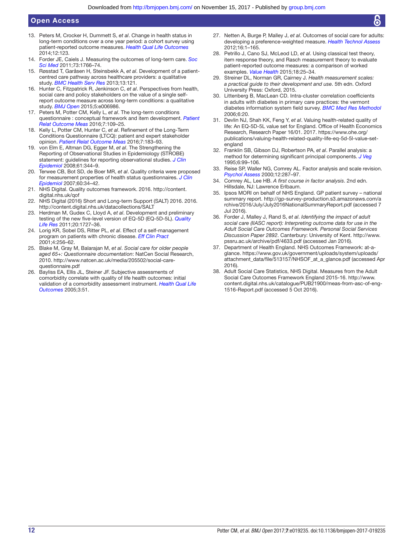#### Open Access

- 13. Peters M, Crocker H, Dummett S, et al. Change in health status in long-term conditions over a one year period: a cohort survey using patient-reported outcome measures. [Health Qual Life Outcomes](http://dx.doi.org/10.1186/s12955-014-0123-2)  $2014.12.123$
- 14. Forder JE, Caiels J. Measuring the outcomes of long-term care. Soc [Sci Med](http://dx.doi.org/10.1016/j.socscimed.2011.09.023) 2011;73:1766–74.
- 15. Røsstad T, Garåsen H, Steinsbekk A, et al. Development of a patientcentred care pathway across healthcare providers: a qualitative study. [BMC Health Serv Res](http://dx.doi.org/10.1186/1472-6963-13-121) 2013;13:121.
- 16. Hunter C, Fitzpatrick R, Jenkinson C, et al. Perspectives from health, social care and policy stakeholders on the value of a single selfreport outcome measure across long-term conditions: a qualitative study. [BMJ Open](http://dx.doi.org/10.1136/bmjopen-2014-006986) 2015;5:e006986.
- 17. Peters M, Potter CM, Kelly L, et al. The long-term conditions questionnaire : conceptual framework and item development. Patient [Relat Outcome Meas](http://dx.doi.org/10.2147/PROM.S104552) 2016;7:109-25.
- 18. Kelly L, Potter CM, Hunter C, et al. Refinement of the Long-Term Conditions Questionnaire (LTCQ): patient and expert stakeholder opinion. [Patient Relat Outcome Meas](http://dx.doi.org/10.2147/PROM.S116987) 2016;7:183–93.
- 19. von Elm E, Altman DG, Egger M, et al. The Strengthening the Reporting of Observational Studies in Epidemiology (STROBE) statement: guidelines for reporting observational studies. J Clin [Epidemiol](http://dx.doi.org/10.1016/j.jclinepi.2007.11.008) 2008;61:344–9.
- 20. Terwee CB, Bot SD, de Boer MR, et al. Quality criteria were proposed for measurement properties of health status questionnaires. J Clin [Epidemiol](http://dx.doi.org/10.1016/j.jclinepi.2006.03.012) 2007;60:34–42.
- 21. NHS Digital. Quality outcomes framework. 2016. http://content. digital.nhs.uk/gof
- 22. NHS Digital (2016) Short and Long-term Support (SALT) 2016. 2016. http://content.digital.nhs.uk/datacollections/SALT
- 23. Herdman M, Gudex C, Lloyd A, et al. Development and preliminary testing of the new five-level version of EQ-5D (EQ-5D-5L). Quality [Life Res](http://dx.doi.org/10.1007/s11136-011-9903-x) 2011;20:1727–36.
- 24. Lorig KR, Sobel DS, Ritter PL, et al. Effect of a self-management program on patients with chronic disease. Eff Clin Pract 2001;4:256–62.
- 25. Blake M, Gray M, Balarajan M, et al. Social care for older people aged 65+: Questionnaire documentation: NatCen Social Research, 2010. http://www.natcen.ac.uk/media/205502/social-care[questionnaire. pdf](http://www.natcen.ac.uk/media/205502/social-care-questionnaire.pdf)
- 26. Bayliss EA, Ellis JL, Steiner JF. Subjective assessments of comorbidity correlate with quality of life health outcomes: initial validation of a comorbidity assessment instrument. Health Qual Life [Outcomes](http://dx.doi.org/10.1186/1477-7525-3-51) 2005;3:51.
- 27. Netten A, Burge P, Malley J, et al. Outcomes of social care for adults: developing a preference-weighted measure. [Health Technol Assess](http://dx.doi.org/10.3310/hta16160) 2012;16:1–165.
- 28. Petrillo J, Cano SJ, McLeod LD, et al. Using classical test theory, item response theory, and Rasch measurement theory to evaluate patient-reported outcome measures: a comparison of worked examples. *[Value Health](http://dx.doi.org/10.1016/j.jval.2014.10.005)* 2015:18:25-34.
- 29. Streiner DL, Norman GR, Cairney J. Health measurement scales: a practical guide to their development and use. 5th edn. Oxford University Press: Oxford, 2015.
- 30. Littenberg B, MacLean CD. Intra-cluster correlation coeficients in adults with diabetes in primary care practices: the vermont diabetes information system field survey. [BMC Med Res Methodol](http://dx.doi.org/10.1186/1471-2288-6-20) 2006;6:20.
- 31. Devlin NJ, Shah KK, Feng Y, et al. Valuing health-related quality of life: An EQ-5D-5L value set for England. Ofice of Health Economics Research, Research Paper 16/01. 2017. [https://www. ohe. org/](https://www.ohe.org/publications/valuing-health-related-quality-life-eq-5d-5l-value-set-england) publications/valuing-health-related-quality-life-eq-5d-5l-value-set[england](https://www.ohe.org/publications/valuing-health-related-quality-life-eq-5d-5l-value-set-england)
- 32. Franklin SB, Gibson DJ, Robertson PA, et al. Parallel analysis: a method for determining significant principal components. [J Veg](http://dx.doi.org/10.2307/3236261) 1995;6:99–106.
- 33. Reise SP, Waller NG, Comrey AL. Factor analysis and scale revision. [Psychol Assess](http://dx.doi.org/10.1037/1040-3590.12.3.287) 2000;12:287–97.
- 34. Comrey AL, Lee HB. A first course in factor analysis. 2nd edn. Hillsdale, NJ: Lawrence Erlbaum.
- 35. Ipsos MORI on behalf of NHS England. GP patient survey national summary report. http://gp-survey-production.s3.amazonaws.com/a rchive/2016/July/July2016NationalSummaryReport.pdf (accessed 7 Jul 2016).
- 36. Forder J, Malley J, Rand S, et al. Identifying the impact of adult social care (IIASC report): Interpreting outcome data for use in the Adult Social Care Outcomes Framework. Personal Social Services Discussion Paper 2892. Canterbury: University of Kent. [http://www.](http://www.pssru.ac.uk/archive/pdf/4633.pdf)  pssru.ac.uk/archive/pdf/4633.pdf (accessed Jan 2016).
- 37. Department of Health England. NHS Outcomes Framework: at-aglance. https://www.gov.uk/government/uploads/system/uploads/ attachment\_data/file/513157/NHSOF\_at\_a\_glance.pdf (accessed Apr 2016).
- 38. Adult Social Care Statistics, NHS Digital. Measures from the Adult Social Care Outcomes Framework England 2015-16. [http://www.](http://www.content.digital.nhs.uk/catalogue/PUB21900/meas-from-asc-of-eng-1516-Report.pdf)  content.digital.nhs.uk/catalogue/PUB21900/meas-from-asc-of-eng-[1516- Report. pdf](http://www.content.digital.nhs.uk/catalogue/PUB21900/meas-from-asc-of-eng-1516-Report.pdf) (accessed 5 Oct 2016).